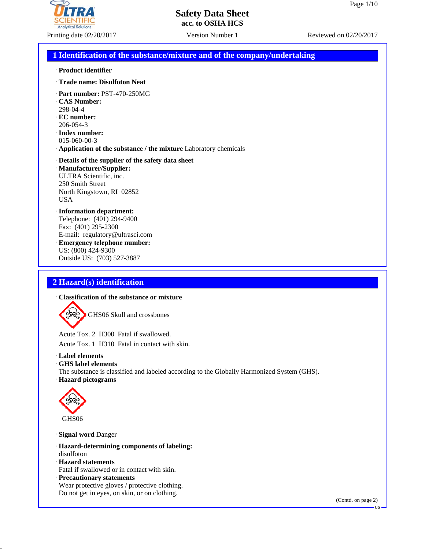

#### Printing date 02/20/2017 Version Number 1 Reviewed on 02/20/2017

#### **Safety Data Sheet acc. to OSHA HCS**

#### **1 Identification of the substance/mixture and of the company/undertaking**

#### · **Product identifier**

- · **Trade name: Disulfoton Neat**
- · **Part number:** PST-470-250MG
- · **CAS Number:** 298-04-4
- · **EC number:** 206-054-3
- · **Index number:** 015-060-00-3
- · **Application of the substance / the mixture** Laboratory chemicals

#### · **Details of the supplier of the safety data sheet**

· **Manufacturer/Supplier:** ULTRA Scientific, inc. 250 Smith Street North Kingstown, RI 02852 USA

#### · **Information department:**

Telephone: (401) 294-9400 Fax: (401) 295-2300 E-mail: regulatory@ultrasci.com · **Emergency telephone number:** US: (800) 424-9300

Outside US: (703) 527-3887

#### **2 Hazard(s) identification**

#### · **Classification of the substance or mixture**

GHS06 Skull and crossbones

Acute Tox. 2 H300 Fatal if swallowed.

Acute Tox. 1 H310 Fatal in contact with skin.

#### · **Label elements**

· **GHS label elements**

The substance is classified and labeled according to the Globally Harmonized System (GHS). · **Hazard pictograms**



· **Signal word** Danger

- · **Hazard-determining components of labeling:** disulfoton
- · **Hazard statements**
- Fatal if swallowed or in contact with skin.
- · **Precautionary statements**

Wear protective gloves / protective clothing. Do not get in eyes, on skin, or on clothing.

US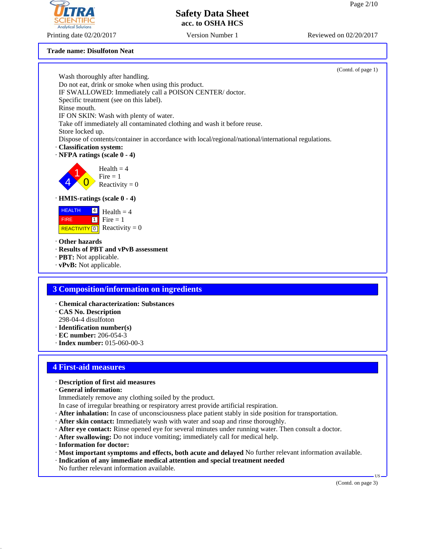#### TITRA **SCIENTIFIC Analytical Solutions**

Printing date 02/20/2017 Version Number 1 Reviewed on 02/20/2017

### **Safety Data Sheet acc. to OSHA HCS**

#### **Trade name: Disulfoton Neat**

|                                                                                                                                 | (Contd. of page 1) |
|---------------------------------------------------------------------------------------------------------------------------------|--------------------|
| Wash thoroughly after handling.                                                                                                 |                    |
| Do not eat, drink or smoke when using this product.                                                                             |                    |
| IF SWALLOWED: Immediately call a POISON CENTER/doctor.                                                                          |                    |
| Specific treatment (see on this label).                                                                                         |                    |
| Rinse mouth.                                                                                                                    |                    |
| IF ON SKIN: Wash with plenty of water.                                                                                          |                    |
| Take off immediately all contaminated clothing and wash it before reuse.                                                        |                    |
| Store locked up.                                                                                                                |                    |
| Dispose of contents/container in accordance with local/regional/national/international regulations.<br>· Classification system: |                    |
| · NFPA ratings (scale 0 - 4)                                                                                                    |                    |
|                                                                                                                                 |                    |
| Health $=$ 4                                                                                                                    |                    |
| Fire $= 1$                                                                                                                      |                    |
| Reactivity = $0$                                                                                                                |                    |
|                                                                                                                                 |                    |
| $\cdot$ HMIS-ratings (scale $0 - 4$ )                                                                                           |                    |
| <b>HEALTH</b><br>$\vert 4 \vert$<br>Health $=$ 4                                                                                |                    |
| $\begin{bmatrix} 1 \\ 1 \end{bmatrix}$ Fire = 1<br><b>FIRE</b>                                                                  |                    |
| REACTIVITY $\boxed{0}$ Reactivity = 0                                                                                           |                    |
|                                                                                                                                 |                    |
| Other hazards                                                                                                                   |                    |
| · Results of PBT and vPvB assessment                                                                                            |                    |
| · PBT: Not applicable.                                                                                                          |                    |
| $\cdot$ vPvB: Not applicable.                                                                                                   |                    |
|                                                                                                                                 |                    |
| <b>3 Composition/information on ingredients</b>                                                                                 |                    |
|                                                                                                                                 |                    |
| · Chemical characterization: Substances                                                                                         |                    |
| CAS No. Description                                                                                                             |                    |
| 298-04-4 disulfoton                                                                                                             |                    |
| $\cdot$ Identification number(s)                                                                                                |                    |
| · EC number: 206-054-3                                                                                                          |                    |
| $\cdot$ Index number: 015-060-00-3                                                                                              |                    |
|                                                                                                                                 |                    |
|                                                                                                                                 |                    |
| <b>4 First-aid measures</b>                                                                                                     |                    |
| · Description of first aid measures                                                                                             |                    |
| · General information:                                                                                                          |                    |
| Immediately remove any clothing soiled by the product.                                                                          |                    |
| In case of irregular breathing or respiratory arrest provide artificial respiration.                                            |                    |
| · After inhalation: In case of unconsciousness place patient stably in side position for transportation.                        |                    |
| · After skin contact: Immediately wash with water and soap and rinse thoroughly.                                                |                    |
| After eye contact: Rinse opened eye for several minutes under running water. Then consult a doctor.                             |                    |
| · After swallowing: Do not induce vomiting; immediately call for medical help.                                                  |                    |
| · Information for doctor:                                                                                                       |                    |
| · Most important symptoms and effects, both acute and delayed No further relevant information available.                        |                    |
| · Indication of any immediate medical attention and special treatment needed                                                    |                    |
| No further relevant information available.                                                                                      |                    |
|                                                                                                                                 | US —               |
|                                                                                                                                 | (Contd. on page 3) |
|                                                                                                                                 |                    |
|                                                                                                                                 |                    |
|                                                                                                                                 |                    |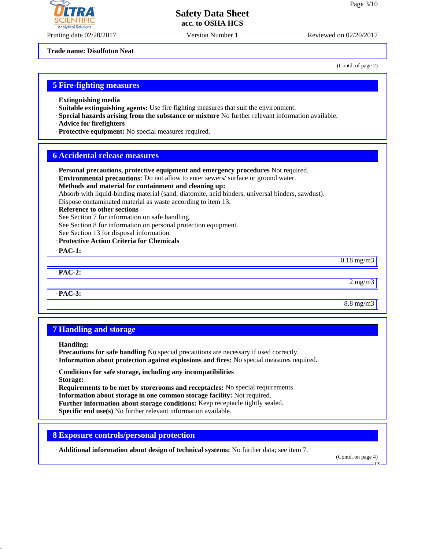# **Analytical Soli**

Printing date 02/20/2017 Version Number 1 Reviewed on 02/20/2017

#### **Safety Data Sheet acc. to OSHA HCS**

**Trade name: Disulfoton Neat**

(Contd. of page 2)

#### **5 Fire-fighting measures**

- · **Extinguishing media**
- · **Suitable extinguishing agents:** Use fire fighting measures that suit the environment.
- · **Special hazards arising from the substance or mixture** No further relevant information available.
- · **Advice for firefighters**
- · **Protective equipment:** No special measures required.

#### **6 Accidental release measures**

- · **Personal precautions, protective equipment and emergency procedures** Not required.
- · **Environmental precautions:** Do not allow to enter sewers/ surface or ground water.
- · **Methods and material for containment and cleaning up:** Absorb with liquid-binding material (sand, diatomite, acid binders, universal binders, sawdust). Dispose contaminated material as waste according to item 13.

#### · **Reference to other sections**

See Section 7 for information on safe handling.

- See Section 8 for information on personal protection equipment.
- See Section 13 for disposal information.

#### · **Protective Action Criteria for Chemicals**

· **PAC-1:**  $0.18$  mg/m3 · **PAC-2:**

2 mg/m3

8.8 mg/m3

#### **7 Handling and storage**

· **Handling:**

· **PAC-3:**

- · **Precautions for safe handling** No special precautions are necessary if used correctly.
- · **Information about protection against explosions and fires:** No special measures required.
- · **Conditions for safe storage, including any incompatibilities**
- · **Storage:**
- · **Requirements to be met by storerooms and receptacles:** No special requirements.
- · **Information about storage in one common storage facility:** Not required.
- · **Further information about storage conditions:** Keep receptacle tightly sealed.
- · **Specific end use(s)** No further relevant information available.

#### **8 Exposure controls/personal protection**

· **Additional information about design of technical systems:** No further data; see item 7.

(Contd. on page 4)

US

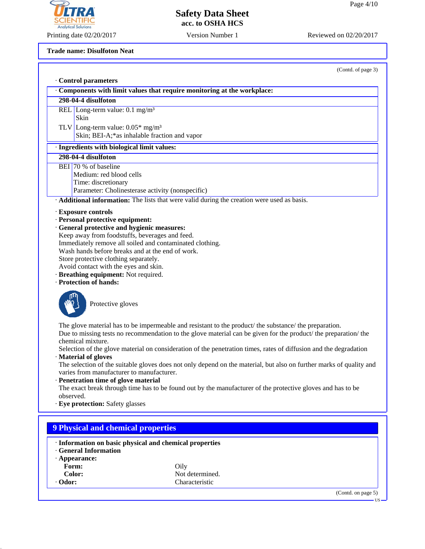

Printing date 02/20/2017 Version Number 1 Reviewed on 02/20/2017

**Trade name: Disulfoton Neat**

(Contd. of page 3)

|                                                                                                        | · Control parameters                                                                                                                                                                                                                                                                                                                                                                                                                                                                                                                                                                                                                                                                                                                                       |  |  |
|--------------------------------------------------------------------------------------------------------|------------------------------------------------------------------------------------------------------------------------------------------------------------------------------------------------------------------------------------------------------------------------------------------------------------------------------------------------------------------------------------------------------------------------------------------------------------------------------------------------------------------------------------------------------------------------------------------------------------------------------------------------------------------------------------------------------------------------------------------------------------|--|--|
|                                                                                                        | Components with limit values that require monitoring at the workplace:                                                                                                                                                                                                                                                                                                                                                                                                                                                                                                                                                                                                                                                                                     |  |  |
|                                                                                                        | 298-04-4 disulfoton                                                                                                                                                                                                                                                                                                                                                                                                                                                                                                                                                                                                                                                                                                                                        |  |  |
|                                                                                                        | REL Long-term value: $0.1 \text{ mg/m}^3$<br>Skin<br>TLV Long-term value: $0.05*$ mg/m <sup>3</sup>                                                                                                                                                                                                                                                                                                                                                                                                                                                                                                                                                                                                                                                        |  |  |
|                                                                                                        | Skin; BEI-A;*as inhalable fraction and vapor                                                                                                                                                                                                                                                                                                                                                                                                                                                                                                                                                                                                                                                                                                               |  |  |
|                                                                                                        | · Ingredients with biological limit values:                                                                                                                                                                                                                                                                                                                                                                                                                                                                                                                                                                                                                                                                                                                |  |  |
|                                                                                                        | 298-04-4 disulfoton                                                                                                                                                                                                                                                                                                                                                                                                                                                                                                                                                                                                                                                                                                                                        |  |  |
|                                                                                                        | BEI 70 % of baseline<br>Medium: red blood cells<br>Time: discretionary<br>Parameter: Cholinesterase activity (nonspecific)                                                                                                                                                                                                                                                                                                                                                                                                                                                                                                                                                                                                                                 |  |  |
|                                                                                                        | Additional information: The lists that were valid during the creation were used as basis.                                                                                                                                                                                                                                                                                                                                                                                                                                                                                                                                                                                                                                                                  |  |  |
|                                                                                                        | · Personal protective equipment:<br>· General protective and hygienic measures:<br>Keep away from foodstuffs, beverages and feed.<br>Immediately remove all soiled and contaminated clothing.<br>Wash hands before breaks and at the end of work.<br>Store protective clothing separately.<br>Avoid contact with the eyes and skin.<br>· Breathing equipment: Not required.<br>· Protection of hands:                                                                                                                                                                                                                                                                                                                                                      |  |  |
|                                                                                                        | Protective gloves                                                                                                                                                                                                                                                                                                                                                                                                                                                                                                                                                                                                                                                                                                                                          |  |  |
| observed.                                                                                              | The glove material has to be impermeable and resistant to the product/ the substance/ the preparation.<br>Due to missing tests no recommendation to the glove material can be given for the product/ the preparation/ the<br>chemical mixture.<br>Selection of the glove material on consideration of the penetration times, rates of diffusion and the degradation<br>· Material of gloves<br>The selection of the suitable gloves does not only depend on the material, but also on further marks of quality and<br>varies from manufacturer to manufacturer.<br>· Penetration time of glove material<br>The exact break through time has to be found out by the manufacturer of the protective gloves and has to be<br>· Eye protection: Safety glasses |  |  |
|                                                                                                        |                                                                                                                                                                                                                                                                                                                                                                                                                                                                                                                                                                                                                                                                                                                                                            |  |  |
|                                                                                                        | <b>9 Physical and chemical properties</b>                                                                                                                                                                                                                                                                                                                                                                                                                                                                                                                                                                                                                                                                                                                  |  |  |
| · Information on basic physical and chemical properties<br><b>General Information</b><br>· Appearance: |                                                                                                                                                                                                                                                                                                                                                                                                                                                                                                                                                                                                                                                                                                                                                            |  |  |

**Form:** Oily **Color:** Not determined.<br> **Characteristic** Characteristic · **Odor:** Characteristic

> (Contd. on page 5) US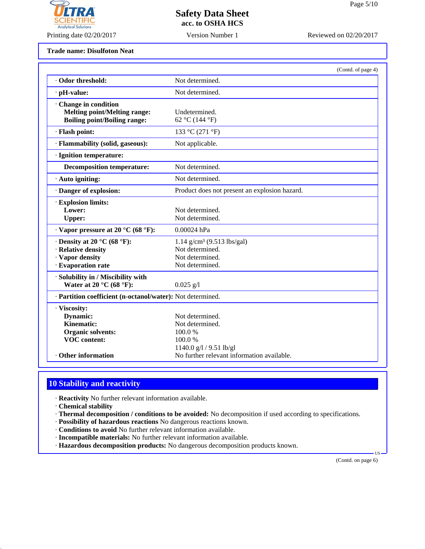

Printing date 02/20/2017 Version Number 1 Reviewed on 02/20/2017

**Trade name: Disulfoton Neat**

|                                                                                                   | (Contd. of page 4)                                                                                |
|---------------------------------------------------------------------------------------------------|---------------------------------------------------------------------------------------------------|
| Odor threshold:                                                                                   | Not determined.                                                                                   |
| · pH-value:                                                                                       | Not determined.                                                                                   |
| Change in condition<br><b>Melting point/Melting range:</b><br><b>Boiling point/Boiling range:</b> | Undetermined.<br>62 °C (144 °F)                                                                   |
| · Flash point:                                                                                    | 133 °C (271 °F)                                                                                   |
| · Flammability (solid, gaseous):                                                                  | Not applicable.                                                                                   |
| · Ignition temperature:                                                                           |                                                                                                   |
| <b>Decomposition temperature:</b>                                                                 | Not determined.                                                                                   |
| $\cdot$ Auto igniting:                                                                            | Not determined.                                                                                   |
| · Danger of explosion:                                                                            | Product does not present an explosion hazard.                                                     |
| · Explosion limits:<br>Lower:<br><b>Upper:</b>                                                    | Not determined.<br>Not determined.                                                                |
| $\cdot$ Vapor pressure at 20 °C (68 °F):                                                          | 0.00024 hPa                                                                                       |
| $\cdot$ Density at 20 °C (68 °F):<br>· Relative density<br>· Vapor density<br>· Evaporation rate  | $1.14$ g/cm <sup>3</sup> (9.513 lbs/gal)<br>Not determined.<br>Not determined.<br>Not determined. |
| · Solubility in / Miscibility with<br>Water at 20 $^{\circ}$ C (68 $^{\circ}$ F):                 | $0.025$ g/l                                                                                       |
| · Partition coefficient (n-octanol/water): Not determined.                                        |                                                                                                   |
| · Viscosity:<br>Dynamic:<br>Kinematic:<br><b>Organic solvents:</b><br><b>VOC</b> content:         | Not determined.<br>Not determined.<br>100.0%<br>100.0%<br>1140.0 $g/l$ / 9.51 lb/gl               |
| Other information                                                                                 | No further relevant information available.                                                        |

### **10 Stability and reactivity**

· **Reactivity** No further relevant information available.

· **Chemical stability**

- · **Thermal decomposition / conditions to be avoided:** No decomposition if used according to specifications.
- · **Possibility of hazardous reactions** No dangerous reactions known.
- · **Conditions to avoid** No further relevant information available.
- · **Incompatible materials:** No further relevant information available.
- · **Hazardous decomposition products:** No dangerous decomposition products known.

(Contd. on page 6)

US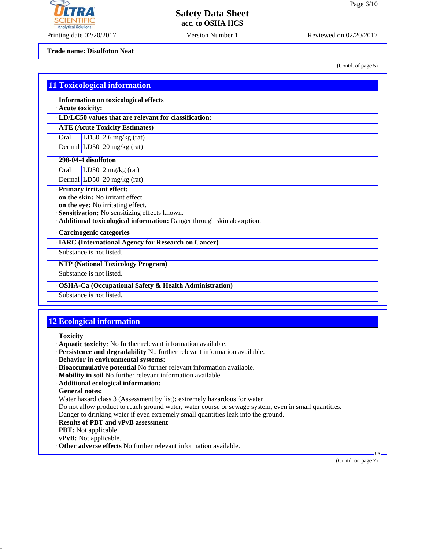

Printing date 02/20/2017 Version Number 1 Reviewed on 02/20/2017

**Trade name: Disulfoton Neat**

(Contd. of page 5)

|                          | · Acute toxicity:<br>· LD/LC50 values that are relevant for classification: |
|--------------------------|-----------------------------------------------------------------------------|
|                          | <b>ATE (Acute Toxicity Estimates)</b>                                       |
| Oral                     | LD50 $2.6$ mg/kg (rat)                                                      |
|                          | Dermal LD50 $\sqrt{20}$ mg/kg (rat)                                         |
| 298-04-4 disulfoton      |                                                                             |
| Oral                     | LD50 $\sqrt{2}$ mg/kg (rat)                                                 |
|                          | Dermal LD50 $\sqrt{20}$ mg/kg (rat)                                         |
|                          | · Primary irritant effect:                                                  |
|                          | · on the skin: No irritant effect.                                          |
|                          | on the eye: No irritating effect.                                           |
|                          | · Sensitization: No sensitizing effects known.                              |
|                          | · Additional toxicological information: Danger through skin absorption.     |
|                          | · Carcinogenic categories                                                   |
|                          | · IARC (International Agency for Research on Cancer)                        |
| Substance is not listed. |                                                                             |
|                          | · NTP (National Toxicology Program)                                         |
|                          | Substance is not listed.                                                    |
|                          | <b>OSHA-Ca (Occupational Safety &amp; Health Administration)</b>            |
|                          |                                                                             |
| Substance is not listed. |                                                                             |
|                          |                                                                             |
|                          |                                                                             |
|                          | <b>12 Ecological information</b>                                            |

- · **Mobility in soil** No further relevant information available.
- · **Additional ecological information:**
- · **General notes:**
- Water hazard class 3 (Assessment by list): extremely hazardous for water
- Do not allow product to reach ground water, water course or sewage system, even in small quantities.
- Danger to drinking water if even extremely small quantities leak into the ground.
- · **Results of PBT and vPvB assessment**
- · **PBT:** Not applicable.
- · **vPvB:** Not applicable.
- · **Other adverse effects** No further relevant information available.

 US (Contd. on page 7)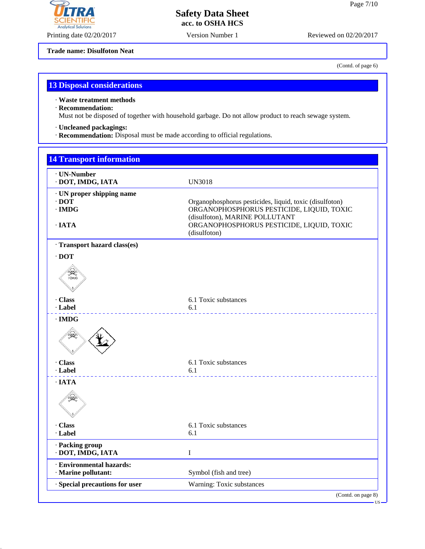## **LTRA Analytical Solutions**

#### **Safety Data Sheet acc. to OSHA HCS**

Printing date 02/20/2017 Version Number 1 Reviewed on 02/20/2017

**Trade name: Disulfoton Neat**

(Contd. of page 6)

#### **13 Disposal considerations**

· **Waste treatment methods**

#### · **Recommendation:**

Must not be disposed of together with household garbage. Do not allow product to reach sewage system.

- · **Uncleaned packagings:**
- · **Recommendation:** Disposal must be made according to official regulations.

| <b>14 Transport information</b>                          |                                                                                                                                        |
|----------------------------------------------------------|----------------------------------------------------------------------------------------------------------------------------------------|
| · UN-Number<br>· DOT, IMDG, IATA                         | <b>UN3018</b>                                                                                                                          |
| · UN proper shipping name<br>$\cdot$ DOT<br>$\cdot$ IMDG | Organophosphorus pesticides, liquid, toxic (disulfoton)<br>ORGANOPHOSPHORUS PESTICIDE, LIQUID, TOXIC<br>(disulfoton), MARINE POLLUTANT |
| $\cdot$ IATA                                             | ORGANOPHOSPHORUS PESTICIDE, LIQUID, TOXIC<br>(disulfoton)                                                                              |
| · Transport hazard class(es)                             |                                                                                                                                        |
| $\cdot$ DOT                                              |                                                                                                                                        |
| <b>SARA</b>                                              |                                                                                                                                        |
| · Class<br>· Label                                       | 6.1 Toxic substances<br>6.1                                                                                                            |
| $\cdot$ IMDG                                             |                                                                                                                                        |
|                                                          |                                                                                                                                        |
| · Class<br>· Label                                       | 6.1 Toxic substances<br>6.1                                                                                                            |
| $\cdot$ IATA                                             |                                                                                                                                        |
| $\mathbb{Q}$                                             |                                                                                                                                        |
| · Class                                                  | 6.1 Toxic substances                                                                                                                   |
| · Label                                                  | 6.1                                                                                                                                    |
| · Packing group<br>· DOT, IMDG, IATA                     | $\bf I$                                                                                                                                |
| · Environmental hazards:<br>· Marine pollutant:          | Symbol (fish and tree)                                                                                                                 |
| · Special precautions for user                           | Warning: Toxic substances                                                                                                              |
|                                                          | (Contd. on page 8)<br>$-US -$                                                                                                          |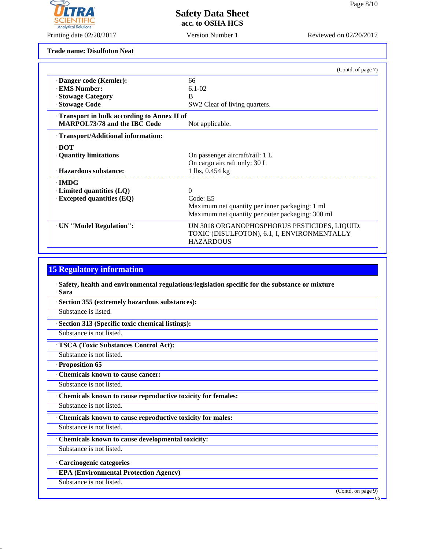

Printing date 02/20/2017 Reviewed on 02/20/2017 Version Number 1

**Trade name: Disulfoton Neat**

|                                              | (Contd. of page 7)                                                                                              |
|----------------------------------------------|-----------------------------------------------------------------------------------------------------------------|
| · Danger code (Kemler):                      | 66                                                                                                              |
| · EMS Number:                                | $6.1 - 02$                                                                                                      |
| · Stowage Category                           | <sub>B</sub>                                                                                                    |
| · Stowage Code                               | SW2 Clear of living quarters.                                                                                   |
| · Transport in bulk according to Annex II of |                                                                                                                 |
| <b>MARPOL73/78 and the IBC Code</b>          | Not applicable.                                                                                                 |
| · Transport/Additional information:          |                                                                                                                 |
| $\cdot$ DOT                                  |                                                                                                                 |
| • Quantity limitations                       | On passenger aircraft/rail: 1 L                                                                                 |
|                                              | On cargo aircraft only: 30 L                                                                                    |
| · Hazardous substance:                       | 1 lbs, 0.454 kg                                                                                                 |
| $\cdot$ IMDG                                 |                                                                                                                 |
| $\cdot$ Limited quantities (LQ)              | 0                                                                                                               |
| $\cdot$ Excepted quantities (EQ)             | Code: E5                                                                                                        |
|                                              | Maximum net quantity per inner packaging: 1 ml                                                                  |
|                                              | Maximum net quantity per outer packaging: 300 ml                                                                |
| · UN "Model Regulation":                     | UN 3018 ORGANOPHOSPHORUS PESTICIDES, LIQUID,<br>TOXIC (DISULFOTON), 6.1, I, ENVIRONMENTALLY<br><b>HAZARDOUS</b> |

#### **15 Regulatory information**

- · **Safety, health and environmental regulations/legislation specific for the substance or mixture** · **Sara**
- · **Section 355 (extremely hazardous substances):**
- Substance is listed.
- · **Section 313 (Specific toxic chemical listings):**
- Substance is not listed.
- · **TSCA (Toxic Substances Control Act):**
- Substance is not listed.
- · **Proposition 65**
- · **Chemicals known to cause cancer:**
- Substance is not listed.
- · **Chemicals known to cause reproductive toxicity for females:**
- Substance is not listed.
- · **Chemicals known to cause reproductive toxicity for males:**
- Substance is not listed.
- · **Chemicals known to cause developmental toxicity:**
- Substance is not listed.
- · **Carcinogenic categories**
- · **EPA (Environmental Protection Agency)**
- Substance is not listed.

(Contd. on page 9)

US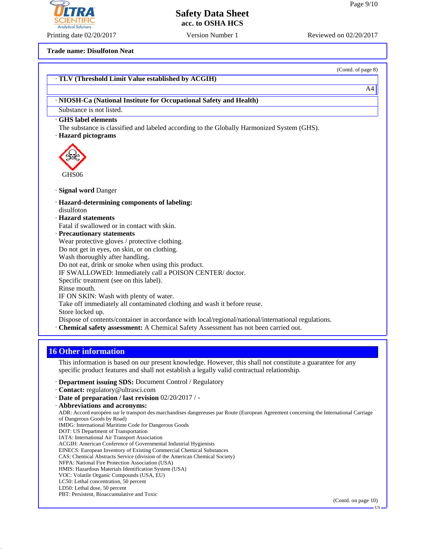Printing date 02/20/2017 Version Number 1 Reviewed on 02/20/2017

**Trade name: Disulfoton Neat**

|                                                                                                     | (Contd. of page 8) |
|-----------------------------------------------------------------------------------------------------|--------------------|
| · TLV (Threshold Limit Value established by ACGIH)                                                  |                    |
|                                                                                                     | A4                 |
| · NIOSH-Ca (National Institute for Occupational Safety and Health)                                  |                    |
| Substance is not listed.                                                                            |                    |
| <b>GHS</b> label elements                                                                           |                    |
| The substance is classified and labeled according to the Globally Harmonized System (GHS).          |                    |
| · Hazard pictograms                                                                                 |                    |
|                                                                                                     |                    |
|                                                                                                     |                    |
|                                                                                                     |                    |
| GHS <sub>06</sub>                                                                                   |                    |
| · Signal word Danger                                                                                |                    |
| · Hazard-determining components of labeling:                                                        |                    |
| disulfoton                                                                                          |                    |
| · Hazard statements                                                                                 |                    |
| Fatal if swallowed or in contact with skin.                                                         |                    |
| · Precautionary statements                                                                          |                    |
| Wear protective gloves / protective clothing.                                                       |                    |
| Do not get in eyes, on skin, or on clothing.                                                        |                    |
| Wash thoroughly after handling.                                                                     |                    |
| Do not eat, drink or smoke when using this product.                                                 |                    |
| IF SWALLOWED: Immediately call a POISON CENTER/doctor.<br>Specific treatment (see on this label).   |                    |
| Rinse mouth.                                                                                        |                    |
| IF ON SKIN: Wash with plenty of water.                                                              |                    |
| Take off immediately all contaminated clothing and wash it before reuse.                            |                    |
| Store locked up.                                                                                    |                    |
| Dispose of contents/container in accordance with local/regional/national/international regulations. |                    |
| · Chemical safety assessment: A Chemical Safety Assessment has not been carried out.                |                    |
|                                                                                                     |                    |

#### **16 Other information**

This information is based on our present knowledge. However, this shall not constitute a guarantee for any specific product features and shall not establish a legally valid contractual relationship.

- · **Department issuing SDS:** Document Control / Regulatory
- · **Contact:** regulatory@ultrasci.com
- · **Date of preparation / last revision** 02/20/2017 / -
- · **Abbreviations and acronyms:**

ADR: Accord européen sur le transport des marchandises dangereuses par Route (European Agreement concerning the International Carriage of Dangerous Goods by Road)

- IMDG: International Maritime Code for Dangerous Goods
- DOT: US Department of Transportation IATA: International Air Transport Association
- 
- ACGIH: American Conference of Governmental Industrial Hygienists EINECS: European Inventory of Existing Commercial Chemical Substances
- CAS: Chemical Abstracts Service (division of the American Chemical Society)
- NFPA: National Fire Protection Association (USA)
- HMIS: Hazardous Materials Identification System (USA)
- VOC: Volatile Organic Compounds (USA, EU)
- LC50: Lethal concentration, 50 percent
- LD50: Lethal dose, 50 percent

PBT: Persistent, Bioaccumulative and Toxic

(Contd. on page 10)



US